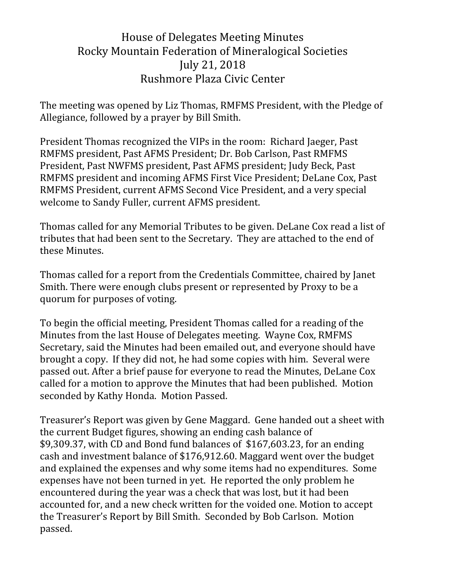# House of Delegates Meeting Minutes Rocky Mountain Federation of Mineralogical Societies July 21, 2018 Rushmore Plaza Civic Center

The meeting was opened by Liz Thomas, RMFMS President, with the Pledge of Allegiance, followed by a prayer by Bill Smith.

President Thomas recognized the VIPs in the room: Richard Jaeger, Past RMFMS president, Past AFMS President; Dr. Bob Carlson, Past RMFMS President, Past NWFMS president, Past AFMS president; Judy Beck, Past RMFMS president and incoming AFMS First Vice President; DeLane Cox, Past RMFMS President, current AFMS Second Vice President, and a very special welcome to Sandy Fuller, current AFMS president.

Thomas called for any Memorial Tributes to be given. DeLane Cox read a list of tributes that had been sent to the Secretary. They are attached to the end of these Minutes.

Thomas called for a report from the Credentials Committee, chaired by Janet Smith. There were enough clubs present or represented by Proxy to be a quorum for purposes of voting.

To begin the official meeting, President Thomas called for a reading of the Minutes from the last House of Delegates meeting. Wayne Cox, RMFMS Secretary, said the Minutes had been emailed out, and everyone should have brought a copy. If they did not, he had some copies with him. Several were passed out. After a brief pause for everyone to read the Minutes, DeLane Cox called for a motion to approve the Minutes that had been published. Motion seconded by Kathy Honda. Motion Passed.

Treasurer's Report was given by Gene Maggard. Gene handed out a sheet with the current Budget figures, showing an ending cash balance of \$9,309.37, with CD and Bond fund balances of \$167,603.23, for an ending cash and investment balance of \$176,912.60. Maggard went over the budget and explained the expenses and why some items had no expenditures. Some expenses have not been turned in yet. He reported the only problem he encountered during the year was a check that was lost, but it had been accounted for, and a new check written for the voided one. Motion to accept the Treasurer's Report by Bill Smith. Seconded by Bob Carlson. Motion passed.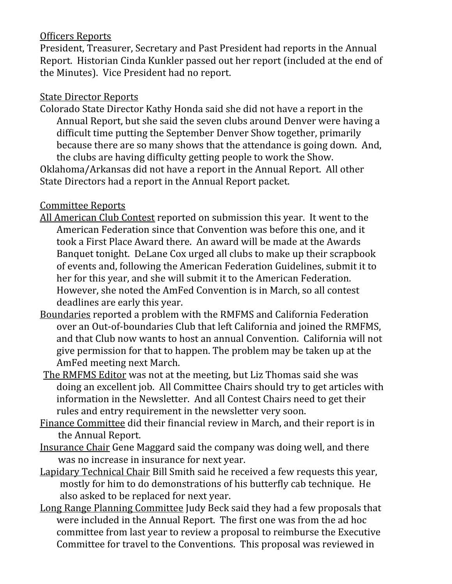### Officers Reports

President, Treasurer, Secretary and Past President had reports in the Annual Report. Historian Cinda Kunkler passed out her report (included at the end of the Minutes). Vice President had no report.

#### State Director Reports

Colorado State Director Kathy Honda said she did not have a report in the Annual Report, but she said the seven clubs around Denver were having a difficult time putting the September Denver Show together, primarily because there are so many shows that the attendance is going down. And, the clubs are having difficulty getting people to work the Show.

Oklahoma/Arkansas did not have a report in the Annual Report. All other State Directors had a report in the Annual Report packet.

### Committee Reports

- All American Club Contest reported on submission this year. It went to the American Federation since that Convention was before this one, and it took a First Place Award there. An award will be made at the Awards Banquet tonight. DeLane Cox urged all clubs to make up their scrapbook of events and, following the American Federation Guidelines, submit it to her for this year, and she will submit it to the American Federation. However, she noted the AmFed Convention is in March, so all contest deadlines are early this year.
- Boundaries reported a problem with the RMFMS and California Federation over an Out-of-boundaries Club that left California and joined the RMFMS, and that Club now wants to host an annual Convention. California will not give permission for that to happen. The problem may be taken up at the AmFed meeting next March.
- The RMFMS Editor was not at the meeting, but Liz Thomas said she was doing an excellent job. All Committee Chairs should try to get articles with information in the Newsletter. And all Contest Chairs need to get their rules and entry requirement in the newsletter very soon.
- Finance Committee did their financial review in March, and their report is in the Annual Report.
- Insurance Chair Gene Maggard said the company was doing well, and there was no increase in insurance for next year.
- Lapidary Technical Chair Bill Smith said he received a few requests this year, mostly for him to do demonstrations of his butterfly cab technique. He also asked to be replaced for next year.
- Long Range Planning Committee Judy Beck said they had a few proposals that were included in the Annual Report. The first one was from the ad hoc committee from last year to review a proposal to reimburse the Executive Committee for travel to the Conventions. This proposal was reviewed in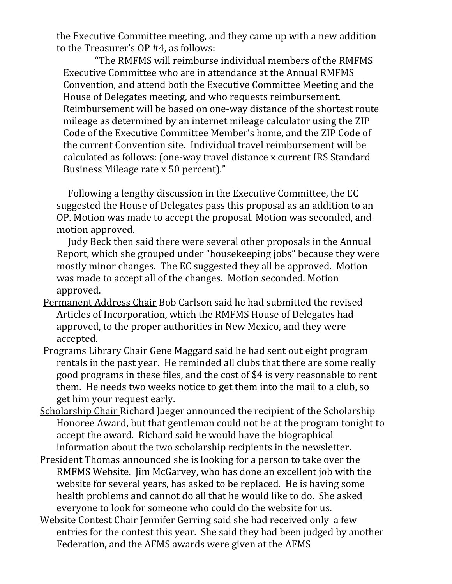the Executive Committee meeting, and they came up with a new addition to the Treasurer's OP #4, as follows:

 "The RMFMS will reimburse individual members of the RMFMS Executive Committee who are in attendance at the Annual RMFMS Convention, and attend both the Executive Committee Meeting and the House of Delegates meeting, and who requests reimbursement. Reimbursement will be based on one-way distance of the shortest route mileage as determined by an internet mileage calculator using the ZIP Code of the Executive Committee Member's home, and the ZIP Code of the current Convention site. Individual travel reimbursement will be calculated as follows: (one-way travel distance x current IRS Standard Business Mileage rate x 50 percent)."

 Following a lengthy discussion in the Executive Committee, the EC suggested the House of Delegates pass this proposal as an addition to an OP. Motion was made to accept the proposal. Motion was seconded, and motion approved.

 Judy Beck then said there were several other proposals in the Annual Report, which she grouped under "housekeeping jobs" because they were mostly minor changes. The EC suggested they all be approved. Motion was made to accept all of the changes. Motion seconded. Motion approved.

- Permanent Address Chair Bob Carlson said he had submitted the revised Articles of Incorporation, which the RMFMS House of Delegates had approved, to the proper authorities in New Mexico, and they were accepted.
- Programs Library Chair Gene Maggard said he had sent out eight program rentals in the past year. He reminded all clubs that there are some really good programs in these files, and the cost of \$4 is very reasonable to rent them. He needs two weeks notice to get them into the mail to a club, so get him your request early.
- Scholarship Chair Richard Jaeger announced the recipient of the Scholarship Honoree Award, but that gentleman could not be at the program tonight to accept the award. Richard said he would have the biographical information about the two scholarship recipients in the newsletter.
- President Thomas announced she is looking for a person to take over the RMFMS Website. Jim McGarvey, who has done an excellent job with the website for several years, has asked to be replaced. He is having some health problems and cannot do all that he would like to do. She asked everyone to look for someone who could do the website for us.
- Website Contest Chair Jennifer Gerring said she had received only a few entries for the contest this year. She said they had been judged by another Federation, and the AFMS awards were given at the AFMS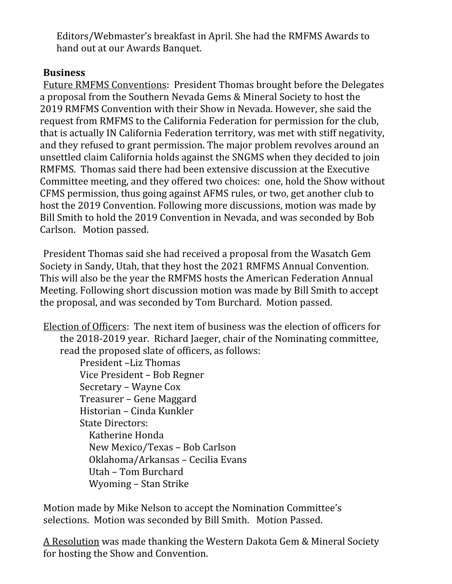Editors/Webmaster's breakfast in April. She had the RMFMS Awards to hand out at our Awards Banquet.

## **Business**

Future RMFMS Conventions: President Thomas brought before the Delegates a proposal from the Southern Nevada Gems & Mineral Society to host the 2019 RMFMS Convention with their Show in Nevada. However, she said the request from RMFMS to the California Federation for permission for the club, that is actually IN California Federation territory, was met with stiff negativity, and they refused to grant permission. The major problem revolves around an unsettled claim California holds against the SNGMS when they decided to join RMFMS. Thomas said there had been extensive discussion at the Executive Committee meeting, and they offered two choices: one, hold the Show without CFMS permission, thus going against AFMS rules, or two, get another club to host the 2019 Convention. Following more discussions, motion was made by Bill Smith to hold the 2019 Convention in Nevada, and was seconded by Bob Carlson. Motion passed.

President Thomas said she had received a proposal from the Wasatch Gem Society in Sandy, Utah, that they host the 2021 RMFMS Annual Convention. This will also be the year the RMFMS hosts the American Federation Annual Meeting. Following short discussion motion was made by Bill Smith to accept the proposal, and was seconded by Tom Burchard. Motion passed.

Election of Officers: The next item of business was the election of officers for the 2018-2019 year. Richard Jaeger, chair of the Nominating committee, read the proposed slate of officers, as follows:

President –Liz Thomas Vice President – Bob Regner Secretary – Wayne Cox Treasurer – Gene Maggard Historian – Cinda Kunkler State Directors: Katherine Honda New Mexico/Texas – Bob Carlson Oklahoma/Arkansas – Cecilia Evans Utah – Tom Burchard Wyoming – Stan Strike

Motion made by Mike Nelson to accept the Nomination Committee's selections. Motion was seconded by Bill Smith. Motion Passed.

A Resolution was made thanking the Western Dakota Gem & Mineral Society for hosting the Show and Convention.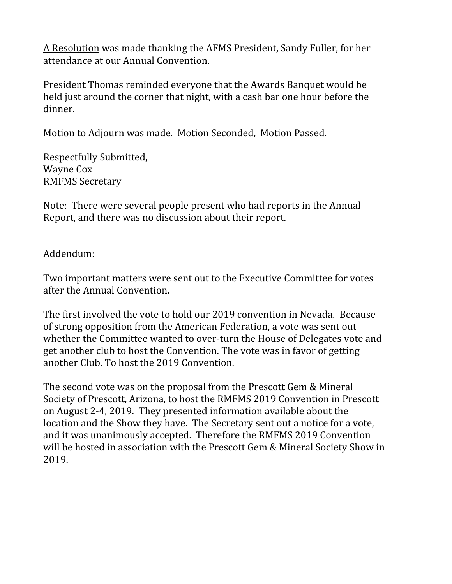A Resolution was made thanking the AFMS President, Sandy Fuller, for her attendance at our Annual Convention.

President Thomas reminded everyone that the Awards Banquet would be held just around the corner that night, with a cash bar one hour before the dinner.

Motion to Adjourn was made. Motion Seconded, Motion Passed.

Respectfully Submitted, Wayne Cox RMFMS Secretary

Note: There were several people present who had reports in the Annual Report, and there was no discussion about their report.

Addendum:

Two important matters were sent out to the Executive Committee for votes after the Annual Convention.

The first involved the vote to hold our 2019 convention in Nevada. Because of strong opposition from the American Federation, a vote was sent out whether the Committee wanted to over-turn the House of Delegates vote and get another club to host the Convention. The vote was in favor of getting another Club. To host the 2019 Convention.

The second vote was on the proposal from the Prescott Gem & Mineral Society of Prescott, Arizona, to host the RMFMS 2019 Convention in Prescott on August 2-4, 2019. They presented information available about the location and the Show they have. The Secretary sent out a notice for a vote, and it was unanimously accepted. Therefore the RMFMS 2019 Convention will be hosted in association with the Prescott Gem & Mineral Society Show in 2019.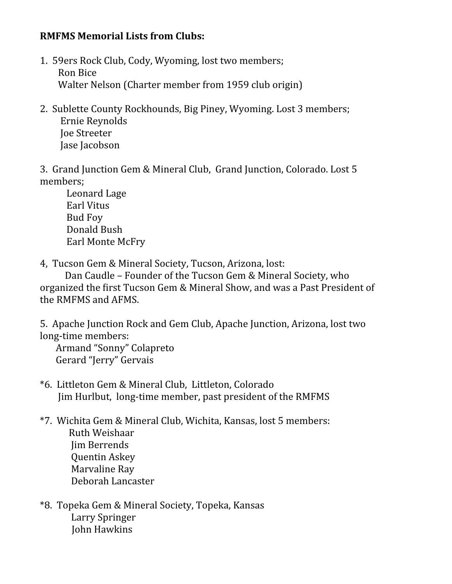### **RMFMS Memorial Lists from Clubs:**

- 1. 59ers Rock Club, Cody, Wyoming, lost two members; Ron Bice Walter Nelson (Charter member from 1959 club origin)
- 2. Sublette County Rockhounds, Big Piney, Wyoming. Lost 3 members; Ernie Reynolds Joe Streeter Jase Jacobson

3. Grand Junction Gem & Mineral Club, Grand Junction, Colorado. Lost 5 members;

Leonard Lage Earl Vitus Bud Foy Donald Bush Earl Monte McFry

4, Tucson Gem & Mineral Society, Tucson, Arizona, lost:

 Dan Caudle – Founder of the Tucson Gem & Mineral Society, who organized the first Tucson Gem & Mineral Show, and was a Past President of the RMFMS and AFMS.

5. Apache Junction Rock and Gem Club, Apache Junction, Arizona, lost two long-time members:

 Armand "Sonny" Colapreto Gerard "Jerry" Gervais

- \*6. Littleton Gem & Mineral Club, Littleton, Colorado Jim Hurlbut, long-time member, past president of the RMFMS
- \*7. Wichita Gem & Mineral Club, Wichita, Kansas, lost 5 members: Ruth Weishaar Jim Berrends Quentin Askey Marvaline Ray Deborah Lancaster
- \*8. Topeka Gem & Mineral Society, Topeka, Kansas Larry Springer John Hawkins